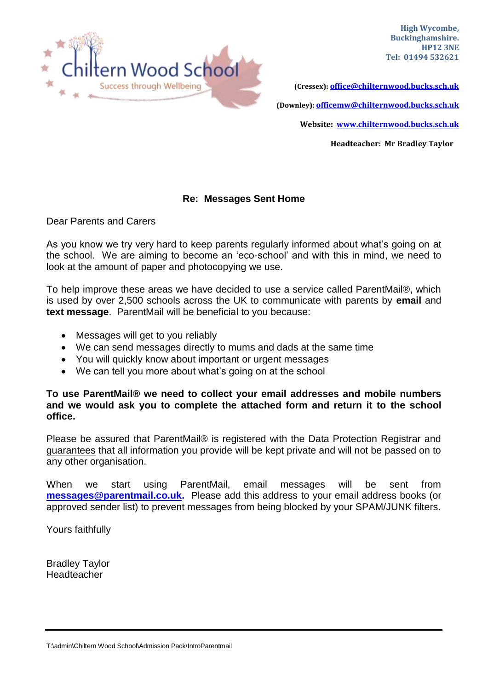

**High Wycombe, Buckinghamshire. HP12 3NE Tel: 01494 532621**

**(Cressex): [office@chilternwood.bucks.sch.uk](mailto:office@chilternwood.bucks.sch.uk) (Downley): [officemw@chilternwood.bucks.sch.uk](mailto:officemw@chilternwood.bucks.sch.uk) Website: [www.chilternwood.bucks.sch.uk](http://www.chilternwood.bucks.sch.uk/)**

**Headteacher: Mr Bradley Taylor**

## **Re: Messages Sent Home**

Dear Parents and Carers

As you know we try very hard to keep parents regularly informed about what's going on at the school. We are aiming to become an 'eco-school' and with this in mind, we need to look at the amount of paper and photocopying we use.

To help improve these areas we have decided to use a service called ParentMail®, which is used by over 2,500 schools across the UK to communicate with parents by **email** and **text message**. ParentMail will be beneficial to you because:

- Messages will get to you reliably
- We can send messages directly to mums and dads at the same time
- You will quickly know about important or urgent messages
- We can tell you more about what's going on at the school

## **To use ParentMail® we need to collect your email addresses and mobile numbers and we would ask you to complete the attached form and return it to the school office.**

Please be assured that ParentMail® is registered with the Data Protection Registrar and guarantees that all information you provide will be kept private and will not be passed on to any other organisation.

When we start using ParentMail, email messages will be sent from **[messages@parentmail.co.uk.](mailto:messages@parentmail.co.uk)** Please add this address to your email address books (or approved sender list) to prevent messages from being blocked by your SPAM/JUNK filters.

Yours faithfully

Bradley Taylor Headteacher